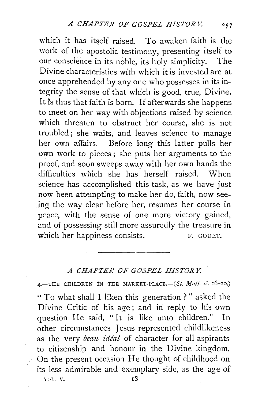which it has itself raised. To awaken faith is the work of the apostolic testimony, presenting itself to our conscience in its noble, its holy simplicity. The Divine characteristics with which it is invested are at once apprehended by any one who possesses in its in~ tegrity the sense of that which is good, true, Divine. It fs thus that faith is born. If afterwards she happens to meet on her way with objections raised by science which threaten to obstruct her course, she is not troubled; she waits, and leaves science to manage her own affairs. Before long this latter pulls her own work to pieces ; she puts her arguments to the proof, and soon sweeps away with her own hands the difficulties which she has herself raised. When science has accomplished this task, as we have just now been attempting to make her do, faith, now seeing the way clear before her, resumes her course in peace, with the sense of one more victory gained, and of possessing still more assuredly the treasure in which her happiness consists. F. GODET.

## *A CHAPTER OF GOSPEL IIISTOR Y.*

4.-THE CHILDREN IN THE MARKET-PLACE.-(St. *Matt.* xi. 16-20.) "To what shall I liken this generation ? " asked the Divine Critic of his age; and in reply to his own question He said, "It is like unto children." In other circumstances Jesus represented childlikeness as the very *beau idéal* of character for all aspirants to citizenship and honour in the Divine kingdom. On the present occasion He thought of childhood on its less admirable and exemplary side, as the age of VOL. V. 18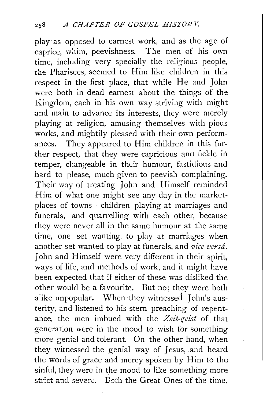play· as opposed to earnest work, and as the age of caprice, whim, peevishness. The men of his own time, including very specially the religious people, the Pharisees, seemed to Him like children in this respect in the first place, that while He and John were both in dead earnest about the things of the Kingdom, each in his own way striving with might and main to advance its interests, they were merely playing at religion, amusing themselves with pious works, and mightily pleased with their own performances. They appeared to Him children in this further respect, that they were capricious and fickle in temper, changeable in their humour, fastidious and hard to please, much given to peevish complaining. Their way of treating John and Himself reminded Him of what one might see any day in the marketplaces of towns-children playing at marriages and funerals, and quarrelling with each other, because they were never all in the same humour at the same time, one set wanting. to play at marriages when another set wanted to play at funerals, and *vice versa.*  John and Himself were very different in their spirit, ways of life, and methods of work, and it might have been expected that if either of these was disliked the other would be a favourite. But no; they were both alike unpopular. When they witnessed John's austerity, and listened to his stern preaching of repentance, the men imbued with the Zeit-geist of that generation were in the mood to wish for something more genial and tolerant. On the other hand, when they witnessed the genial way of Jesus, and heard the words of grace and mercy spoken by Him to the sinful, they were in the mood to like something more strict and severe. Both the Great Ones of the time.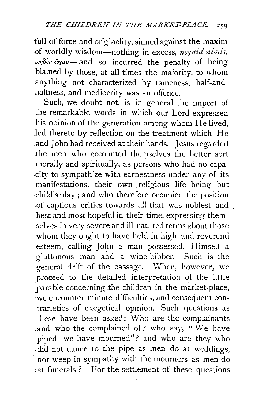full of force and originality, sinned against the maxim of worldly wisdom-nothing in excess, *nequid nimis*, *μηδεν άγαν* - and so incurred the penalty of being blamed by those, at all times the majority, to whom anything not characterized by tameness, half-andhalfness, and mediocrity was an offence.

Such, we doubt not, is in general the import of .the remarkable words in which our Lord expressed his opinion of the generation among whom He lived, led thereto by reflection on the treatment which He .and John had received at their hands. Jesus regarded the men who accounted themselves the better sort morally and spiritually, as persons who had no capa- .city to sympathize with earnestness under any of its manifestations, their own religious life being but .child's play ; and who therefore occupied the position .of captious critics towards all that was noblest and . best and most hopeful in their time, expressing them- \_selves in very severe and ill-natured terms about those whom they ought to have held in high and reverend -esteem, calling John a man possessed, Himself a gluttonous man and a wine-bibber. Such is the general drift of the passage. When, however, we proceed to the detailed interpretation of the little parable concerning the children in the market-place, we encounter minute difficulties, and consequent contrarieties of exegetical opinion. Such questions as these have been asked: Who are the complainants .and who the complained of? who say, " We have piped, we have mourned"? and who are they who . did not dance to the pipe as men do at weddings, nor weep in sympathy with the mourners as men do ; at funerals ? For the settlement of these questions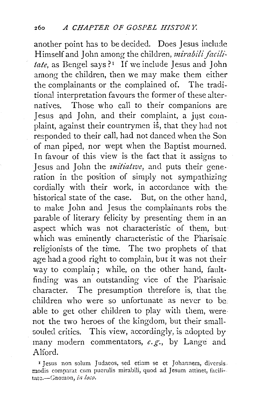another point has to be decided. Does Jesus include Himself and John among the children, *mirabili facili*tate, as Bengel says ?<sup>1</sup> If we include Jesus and John among the children, then we may make them either the complainants or the complained of. The traditional interpretation favours the former of these alternatives. Those who call to their companions are Jesus and John, and their complaint, a just complaint, against their countrymen is, that they had not responded to their call, had not danced when the Son of man piped, nor wept when the Baptist mourned. In favour of this view is the fact that it assigns to Jesus and John the *initiative*, and puts their generation in the position of simply not sympathizing cordially with their work, in accordance with the historical state of the case. But, on the other hand, to make John and Jesus the complainants robs the parable of literary felicity by presenting them in an aspect which was not characteristic of them, but which was eminently characteristic of the Pharisaic. religionists of the time. The two prophets of that age had a good right to complain, but it was not their way to complain; while, on the other hand, faultfinding was an· outstanding vice of the Pharisaic character. The presumption therefore is, that the children who were so unfortunate as never to be able to get other children to play with them, were· not the two heroes of the kingdom, but their smallsouled critics. This view, accordingly, is adopted by many modern commentators, *e.g.,* by Lange and Alford.

<sup>&</sup>lt;sup>I</sup> Jesus non solum Judaeos, sed etiam se et Johannem, diversis. modis comparat cum puerulis mirabili, quod ad Jesum attinet, facili-. tatc.-Gnomon, *in loco.*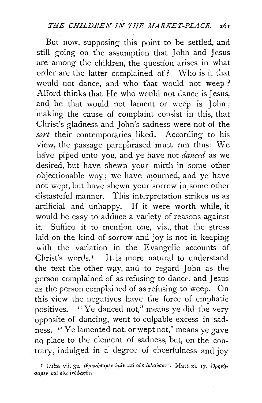But now, supposing this point to be settled, and still going on the assumption that John and Jesus are among the children, the question arises in what order are the latter complained of? \Vho is it that would not dance, and who that would not weep? Alford thinks that He who would not dance is Jesus, and he that would not lament or weep is John ; making the cause of complaint consist in this, that Christ's gladness and John's sadness were not of the sort their contemporaries liked. According to his view, the passage paraphrased must run thus: We have piped unto you, and ye have not *danced* as we desired, but have shewn your mirth in some other objectionable way; we have mourned, and ye have not wept, but have shewn your sorrow in some other distasteful manner. This interpretation strikes us as artificial and unhappy. If it were worth while, it would be easy to adduce a variety of reasons against it. Suffice it to mention one, viz., that the stress laid on the kind of sorrow and joy is not in keeping with the variation in the Evangelic accounts of Christ's words.<sup> $1$ </sup> It is more natural to understand the text the other way, and to regard John· as the person complained of as refusing to dance, and Jesus as the person complained of as refusing to weep. On this view the negatives have the force of emphatic positives. "Ye danced not," means ye did the very opposite of dancing, went to culpable excess in sadness. ''Ye lamented not, or wept not," means ye gave no place to the element of sadness, but, on the contrary, indulged in a degree of cheerfulness and joy

I Luke vii. 32. i6pnyndauey buiv kai oik iklavoare. Matt. xi. 17. impopri. σαμεν και *ουκ* ικόψασθε.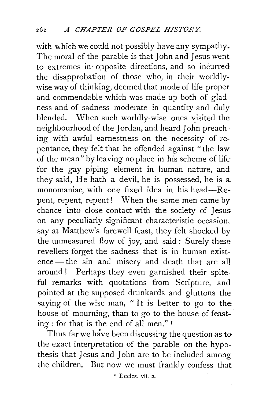with which we could not possibly have any sympathy. The moral of the parable is that John and Jesus went to extremes in· opposite directions, and so incurred the disapprobation of those who, in their worldlywise way of thinking, deemed that mode of life proper and commendable which was made up both of gladness and of sadness moderate in quantity and duly blended. When such worldly-wise ones visited the neighbourhood of the Jordan, and heard John preaching with awful earnestness on the necessity of repentance, they felt that he offended against "the law of the mean" by leaving no place in his scheme of life for the gay piping element in human nature, and they said, He hath a devil, he is possessed, he is a. monomaniac, with one fixed idea in his head-Repent, repent, repent! When the same men came by chance into close contact with the society of Jesus on any peculiarly significant characteristic occasion, say at Matthew's farewell feast, they felt shocked by the unmeasured flow of joy, and said: Surely these revellers forget the sadness that is in human existence-the sin and misery and death that are all around ! Perhaps they even garnished their spiteful remarks with quotations from Scripture, and pointed at the supposed drunkards and gluttons the saying of the wise man, "It is better to go to the house of mourning, than to go to the house of feasting : for that is the end of all men." <sup>1</sup>

Thus far we have been discussing the question as to the exact interpretation of the parable on the hypothesis that Jesus and John are to be included among the children. But now we must frankly confess that

' Eccles. vii. 2.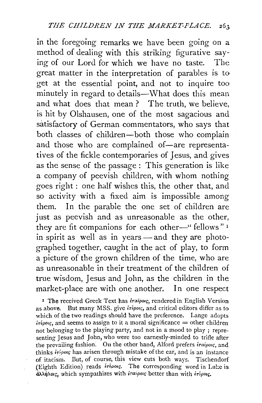in the foregoing remarks we have been going on a method of dealing with this striking figurative saying of our Lord for which we have no taste. The great matter in the interpretation of parables is to get at the essential point, and not to inquire too minutely in regard to details-What does this mean and what does that mean? The truth, we believe, is hit by Olshausen, one of the most sagacious and satisfactory of German commentators, who says that both classes of children-both those who complain and those who are complained of-are representatives of the fickle contemporaries of Jesus, and gives as the sense of the passage : This generation is like a company of peevish children, with whom nothing goes right : one half wishes this, the other that, and so activity with a fixed aim is impossible among them. In the parable the one set of children are just as peevish and as unreasonable as the other, they are fit companions for each other-" fellows"<sup>1</sup> in spirit as well as in years - and they are photographed together, caught in the act of play, to form a picture of the grown children of the time, who are as unreasonable in their treatment of the children of true wisdom, Jesus and John, as the children in the market-place are with one another. In one respect

<sup>1</sup> The received Greek Text has *iraipois*, rendered in English Version as above. But many MSS. give *irέροις*, and critical editors differ as to which of the two readings should have the preference. Lange adopts  $i\tau i\rho o\nu$ , and seems to assign to it a moral significance = other children not belonging to the playing party, and not in a mood to play ; representing Jesus and John, who were too earnestly-minded to trifle after the prevailing fashion. On the other hand, Alford prefers *iraipo•r,* and thinks *iripous* has arisen through mistake of the ear, and is an instance of itacism. But, of course, this view cuts both ways. Tischendorf (Eighth Edition) reads  $\frac{\partial^2 f}{\partial x \partial y}$ . The corresponding word in Luke is  $\partial \lambda \dot{\eta} \lambda o$ <sub>i</sub>, which sympathizes with *iraipoις* better than with *iripors*.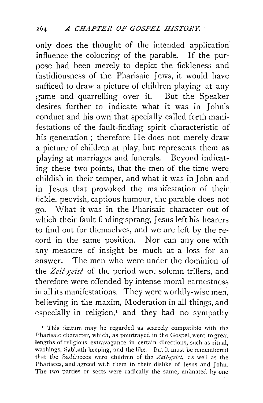only does the thought of the intended application influence the colouring of the parable. If the purpose had been merely to depict the fickleness and fastidiousness of the Pharisaic Jews, it would have sufficed to draw a picture of children playing at any game and quarrelling over it. But the Speaker desires further to indicate what it was in John's conduct and his own that specially called forth manifestations of the fault-finding spirit characteristic of his generation; therefore He does not merely draw a picture of children at play, but represents them as playing at marriages and funerals. Beyond indicating these two points, that the men of the time were childish in their temper, and what it was in John and in Jesus that provoked the manifestation of their fickle, peevish, captious humour, the parable does not go. What it was in the Pharisaic character out of which their fault-finding sprang, Jesus left his hearers to find out for themselves, and we are left by the record in the same position. Nor can any one with any measure of insight be much at a loss for an answer. The men who were under the dominion of the *Zeit-geist* of the period were solemn triflers, and therefore were offended by intense moral earnestness in all its manifestations. They were worldly-wise men, believing in the maxim, Moderation in all things, and  $\epsilon$  especially in religion,<sup> $I$ </sup> and they had no sympathy

<sup>1</sup> This feature may be regarded as scarcely compatible with the Pharisaic character, which, as pourtrayed in the Gospel, went to great lengths of religious extravagance in certain directions, such as ritual, washings, Sabbath keeping, and the like. But it must be remembered that the Sadducees were children of the Zeit-geist, as well as the Pharisees, and agreed with them in their dislike of Jesus and John. The two parties or sects were radically the same, animated by one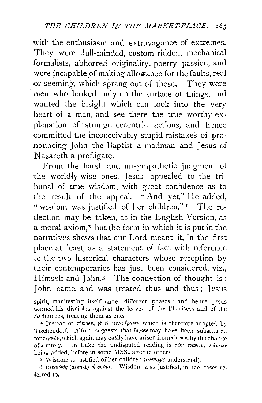with the enthusiasm and extravagance of extremes. They were dull-minded, custom-ridden, mechanical formalists, abhorred. originality, poetry, passion, and were incapable of making allowance for the faults, real or seeming, which sprang out of these. They were men who looked only on the surface of things, and wanted the insight which can look into the very heart of a man, and see there the true worthy explanation of strange eccentric actions, and hence committed the inconceivably stupid mistakes of pronouncing John the Baptist a madman and Jesus of Nazareth a profligate.

From the harsh and unsympathetic judgment of the worldly-wise ones, Jesus appealed to the tribunal of true wisdom, with great confidence as to the result of the appeal. "And yet," He added, " wisdom was justified of her children."<sup>1</sup> The reflection may be taken, as in the English Version, as a moral axiom,<sup>2</sup> but the form in which it is put in the narratives shews that our Lord meant it, in the first place at least, as a statement of fact with reference to the two historical characters whose reception. by their contemporaries has just been considered, viz., Himself and John.<sup>3</sup> The connection of thought is: John came, and was treated thus and thus; Jesus

spirit, manifesting itself under different phases ; and hence Jesus warned his disciples against the leaven of the Pharisees and of the Sadducees, treating them as one.

I Instead of  $\tau \in V$ ,  $\mathcal{R}$  B have  $\mathcal{L}$  pywv, which is therefore adopted by Tischendorf. Alford suggests that  $\ell_{\rho\gamma}$  may have been substituted for  $r \in \mathcal{X}$ <sup>*iv*</sup></sub>, which again may easily have arisen from  $\tau \in \mathcal{Y}$  by the change of  $\kappa$  into  $\chi$ . In Luke the undisputed reading is  $\tau \omega \nu \tau \kappa \nu \omega \nu$ ,  $\pi \omega \nu \tau \omega \nu$ being added, before in some MSS., after in others.

2 Wisdom *is* just1fied of her children *(always* understood).

3 *lίικαιώθη* (aorist) *ή σοφία.* Wisdom *was* justified, in the cases referred to.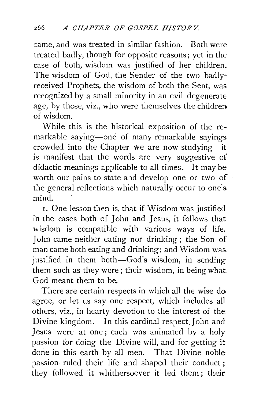came, and was treated in similar fashion. Both were treated badly, though for opposite reasons; yet in the case of both, wisdom was justified of her children. The wisdom of God, the Sender of the two badlyreceived Prophets, the wisdom of both the Sent, was recognized by a small minority in an evil degenerate age, by those, viz., who were themselves the children of wisdom.

While this is the historical exposition of the remarkable saying-one of many remarkable sayings crowded into the Chapter we are now studying-it is manifest that the words are very suggestive of didactic meanings applicable to all times. It may be worth our pains to state and develop one or two of the general reflections which naturally occur to one's mind.

1. One lesson then is, that if Wisdom was justified in the cases both of John and Jesus, it follows that wisdom is compatible with various ways of life. John came neither eating nor drinking ; the Son of man came both eating and drinking; and Wisdom was. justified in them both-God's wisdom, in sendingthem such as they were ; their wisdom, in being what God meant them to be.

There are certain respects in which all the wise do agree, or let us say one respect, which includes all others, viz., in hearty devotion to the interest of the Divine kingdom. In this cardind respect.John and Jesus were at one; each was animated by a holy passion for doing the Divine will, and for getting it done in this earth by all men. That Divine noble passion ruled their life and shaped their conduct ; they followed it whithersoever it led them ; their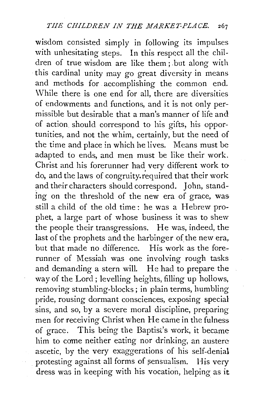wisdom consisted simply in following its impulses with unhesitating steps. In this respect all the children of true wisdom are like them; .but along with ·this cardinal unity may go great diversity in means and methods for accomplishing the common end. \Vhile there is one end for all, there are diversities of endowments and functions, and it is not only permissible but desirable that a man's manner of life and of action should correspond to his gifts, his opportunities, and not the whim, certainly, but the need of the time and place in which he lives. Means must be adapted to ends, and men must be like their work. Christ and his forerunner had very different work to do, and the laws of congruity.required that their work and their characters should correspond. John, standing on the threshold of the new era of grace, was. still a child of the old time: he was a Hebrew prophet, a large part of whose business it was to shew the people their transgressions. He was, indeed, the last of the prophets and the harbinger of the new era, but that made no difference. His work as the forerunner of Messiah was one involving rough tasks and demanding a stern will. He had to prepare the way of the Lord; levelling heights, filling up hollows, removing stumbling-blocks; in plain terms, humbling pride, rousing dormant consciences, exposing special sins, and so, by a severe moral discipline, preparing men for receiving Christ when He came in the fulness of grace. This being the Baptist's work, it became him to come neither eating nor drinking, an austere ascetic, by the very exaggerations of his self-denial protesting against all forms of sensualism. His very dress was in keeping with his vocation, helping as it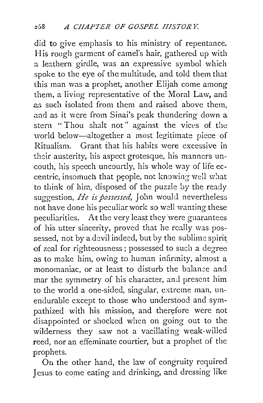did to give emphasis to his ministry of repentance. His rough garment of camel's hair, gathered up with a leathern girdle, was an expressive symbol which spoke to the eye of the multitude, and told them that this man was a prophet, another Elijah come among them, a living representative of the Moral Law, and .as such isolated from them and raised above them, and as it were from Sinai's peak thundering down a stern " Thou shalt not" against the vices of the world below-altogether a most legitimate piece of Ritualism. Grant that his habits were excessive in their austerity, his aspect grotesque, his manners un- ·couth, hi;; speech uncourtly, his whole way of life eccentric, insomuch that people, not knowing well what to think of him, disposed of the puzzle by the ready suggestion, *He is possessed*, John would nevertheless not have done his peculiar work so well wanting these peculiarities. At the very least they were guarantees of his utter sincerity, proved that he really was possessed, not by a devil indeed, but by the sublime spirit. of zeal for righteousness; possessed to such a degree as to make him, owing to human infirmity, almost a monomaniac, or at least to disturb the balance and mar the symmetry of his character, and present him to the world a one-sided, singular, extreme man, unendurable except to those who understood and sympathized with his mission, and therefore were not disappointed or shocked when on going out to the wilderness they saw not a vacillating weak-willed reed, nor an effeminate courtier, but a prophet of the prophets.

On the other hand, the law of congruity required Jesus to come eating and drinking, and dressing like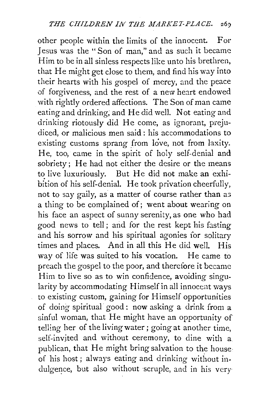other people within the limits of the innocent. For Jesus was the "Son of man," and as such it became Him to be in all sinless respects like unto his brethren, that He might get close to them, and find his way into their hearts with his gospel of mercy, and the peace of forgiveness, and the rest of a new heart endowed with rightly ordered affections. The Son of man came eating and drinking; and He did well. Not eating and drinking riotously did He come, as ignorant, prejudiced, or malicious men said : his accommodations to existing customs sprang from love, not from laxity. He, too, came in the spirit of holy self-denial and sobriety; He had not either the desire or the means to live luxuriously. But He did not make an exhibition of his self-denial. He took privation cheerfully, not to say gaily, as a matter of course rather than as a thing to be complained of; went about wearing on his face an aspect of sunny serenity, as one who bad good news to tell; and for the rest kept his fasting and his sorrow and his spiritual agonies for solitary times and places. And in all this He did well. His way of life was suited to his vocation. He came to preach the gospel to the poor, and therefore it became Him to live so as to win confidence, avoiding singularity by accommodating Himself in all innoccat ways to existing custom, gaining for Himself opportunities of doing spiritual· good : now asking a drink from a sinful woman, that He might have an opportunity of telling her of the living water; going at another time, self-invited and without ceremony, to dine with a publican, that He might bring salvation to the house of his host; always eating and drinking without indulgence, but also without scruple, and in his very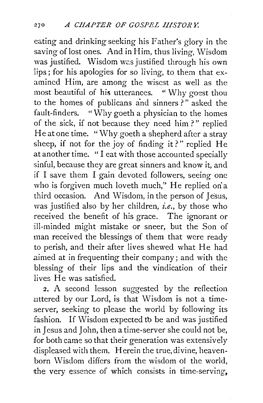eating and drinking seeking his Father's glory in the saving of lost ones. And in Him, thus living, Wisdom was justified. Wisdom was justified through his own lips; for his apologies for so living, to them that examined Him, are among the wisest as well as the most beautiful of his utterances. " Why goest thou to the homes of publicans and sinners ? " asked the fault-finders. "Why goeth a physician to the homes of the sick, if not because they need him?" replied He at one time. "Why goeth a shepherd after a stray sheep, if not for the joy of finding it?" replied He at another time. " I eat with those accounted specially sinful, because they are great sinners and know it, and if I save them I gain devoted followers, seeing one who is forgiven much loveth much," He replied on a third occasion. And Wisdom, in the person of Jesus, was justified also by her children, *i.e.,* by those who received the benefit of his grace. The ignorant or ill-minded might mistake or sneer, but the Son of man received the blessings of them that were ready to perish, and their after lives shewed what He had .aimed at in frequenting their company; and with the blessing of their lips and the vindication of their lives He was satisfied.

2. A second lesson suggested by the reflection uttered by our Lord, is that Wisdom is not a time- .server, seeking to please the world by following its fashion. If Wisdom expected to be and was justified in Jesus and John, then a time-server she could not be, for both came so that their generation was extensively .displeased with them. Herein the true, divine, heavenborn Wisdom differs from the wisdom of the world, the very essence of which consists in time-serving,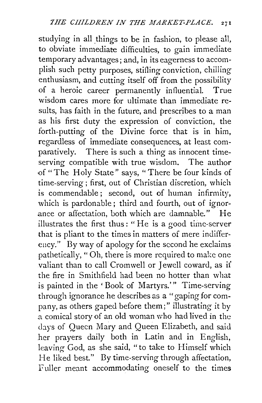studying in all things to be in fashion, to please all, to obviate immediate difficulties, to gain immediate temporary advantages; and, in its eagerness to accomplish such petty purposes, stifling conviction, chilling enthusiasm, and cutting itself off from the possibility of a heroic career permanently influential. True wisdom cares more for ultimate than immediate results, has faith in the future, and prescribes to a man as his first duty the expression of conviction, the forth-putting of the Divine force that is in him, regardless of immediate consequences, at least comparatively. There is such a thing as innocent timeserving compatible with true wisdom. The author of "The Holy State" says, "There be four kinds of time-serving; first, out of Christian discretion, which is commendable; second, out of human infirmity, which is pardonable; third and fourth, out of ignorance or affectation, both which are damnable." He illustrates the first thus: " He is a good time-server that is pliant to the times in matters of mere indifferency." By way of apology for the second he exclaims pathetically, "Oh, there is more required to make one valiant than to call Cromwell or Jewell coward, as if the fire in Smithfield had been no hotter than what is painted in the ' Book of Martyrs.'" Time-serving through ignorance he describes as a "gaping for company, as others gaped before them;" illustrating it by a comical story of an old woman \vho had lived in the days of Queen Mary and Queen Elizabeth, and said her prayers daily both in Latin and in English, leaving God, as she said, "to take to Himself which He liked best." By time-serving through affectation, Fuller meant accommodating oneself to the times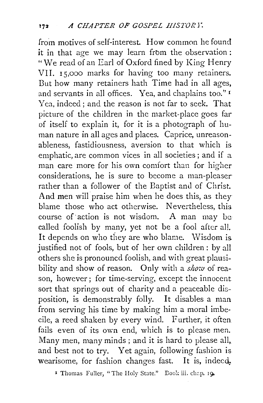from motives of self-interest. How common he found it in that age we may learn from the observation: "We read of an Earl of Oxford fined by King Henry VII. 15,000 marks for having too many retainers. But how many retainers hath Time had in all ages, and servants in all offices. Yea, and chaplains too." <sup>1</sup> Yea, indeed ; and the reason is not far to seek. That picture of the children in the market-place goes far of itself to explain it, for it is a photograph of human nature in all ages and places. Caprice, unreasonableness, fastidiousness, aversion to that which is emphatic, are common vices in all societies; and if a. man care more for his own comfort than for higher considerations, he is sure to become a man-pleaser rather than a follower of the Baptist and of Christ. And men will praise him when he does this, as they blame those who act otherwise. Nevertheless, this course of action is not wisdom. A man may be called foolish by many, yet not be a fooi after all. It depends on who they are who blame. Wisdom is. justified not of fools, but of her own children: by all others she is pronouncd foolish, and with great plausibility and show of reason. Only with a *show* of reason, however; for time-serving, except the innocent sort that springs out of charity and a peaceable disposition, is demonstrably folly. It disables a man from serving his time by making him a moral imbecile, a reed shaken by every wind. Further, it often fails even of its own end, which is to please men. Many men, many minds ; and it is hard to please all, and best not to try. Yet again, following fashion is wearisome, for fashion changes fast. It is, indeed,

<sup>I</sup> Thomas Fuller, "The Holy State." Book iii. chap. 19.